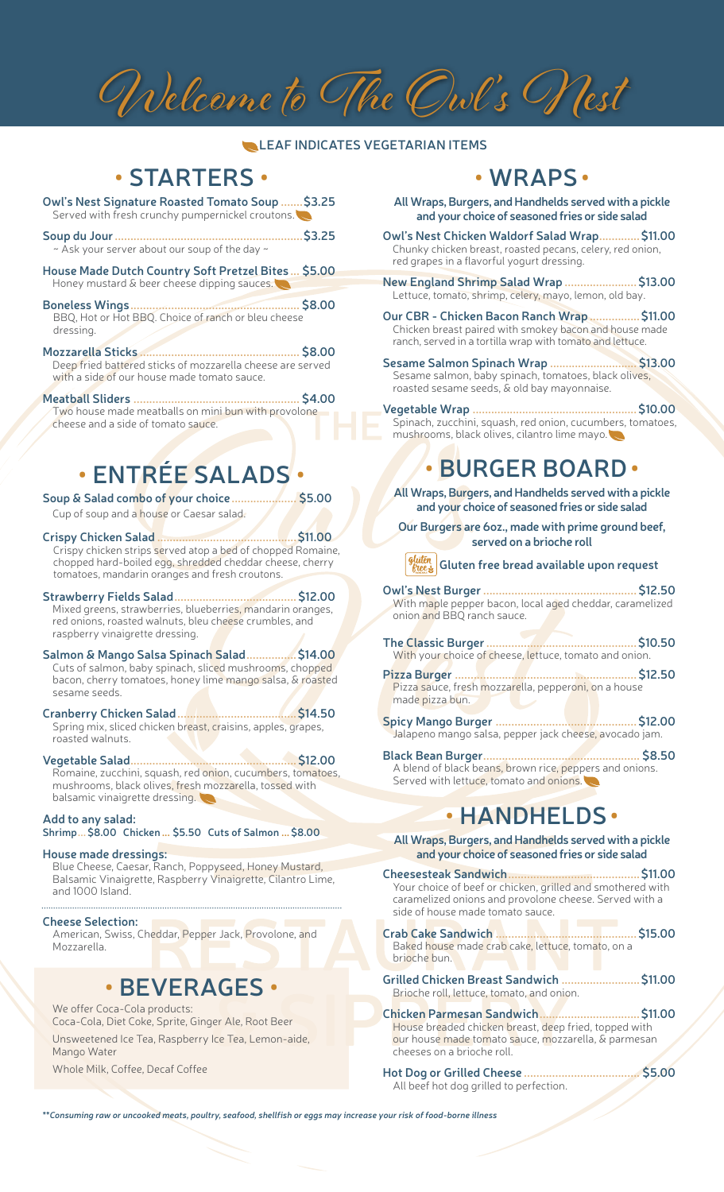# Welcome to The Owl 's Nest

#### **LEAF INDICATES VEGETARIAN ITEMS**

## **• STARTERS •**

**Owl's Nest Signature Roasted Tomato Soup .......\$3.25** Served with fresh crunchy pumpernickel croutons.

- **Soup du Jour............................................................\$3.25**  $\sim$  Ask your server about our soup of the day  $\sim$
- **House Made Dutch Country Soft Pretzel Bites ... \$5.00** Honey mustard & beer cheese dipping sauces.
- **Boneless Wings...................................................... \$8.00** BBQ, Hot or Hot BBQ. Choice of ranch or bleu cheese dressing.
- **Mozzarella Sticks ................................................... \$8.00** Deep fried battered sticks of mozzarella cheese are served with a side of our house made tomato sauce.

#### **Meatball Sliders ..................................................... \$4.00**

Two house made meatballs on mini bun with provolone cheese and a side of tomato sauce.

# **• ENTRÉE SALADS •**

**Soup & Salad combo of your choice..................... \$5.00** Cup of soup and a house or Caesar salad.

#### **Crispy Chicken Salad .............................................\$11.00**

Crispy chicken strips served atop a bed of chopped Romaine, chopped hard-boiled egg, shredded cheddar cheese, cherry tomatoes, mandarin oranges and fresh croutons.

- **Strawberry Fields Salad.......................................\$12.00** Mixed greens, strawberries, blueberries, mandarin oranges, red onions, roasted walnuts, bleu cheese crumbles, and raspberry vinaigrette dressing.
- **Salmon & Mango Salsa Spinach Salad................\$14.00** Cuts of salmon, baby spinach, sliced mushrooms, chopped bacon, cherry tomatoes, honey lime mango salsa, & roasted sesame seeds.
- **Cranberry Chicken Salad......................................\$14.50** Spring mix, sliced chicken breast, craisins, apples, grapes, roasted walnuts.
- **Vegetable Salad.....................................................\$12.00** Romaine, zucchini, squash, red onion, cucumbers, tomatoes, mushrooms, black olives, fresh mozzarella, tossed with balsamic vinaigrette dressing.

**Add to any salad: Shrimp...\$8.00 Chicken ... \$5.50 Cuts of Salmon ...\$8.00**

**House made dressings:** Blue Cheese, Caesar, Ranch, Poppyseed, Honey Mustard, Balsamic Vinaigrette, Raspberry Vinaigrette, Cilantro Lime, and 1000 Island.

**Cheese Selection:** American, Swiss, Cheddar, Pepper Jack, Provolone, and

Mozzarella.

### **• BEVERAGES •**

We offer Coca-Cola products: Coca-Cola, Diet Coke, Sprite, Ginger Ale, Root Beer Unsweetened Ice Tea, Raspberry Ice Tea, Lemon-aide, Mango Water

Whole Milk, Coffee, Decaf Coffee

## **• WRAPS•**

**All Wraps, Burgers, and Handhelds served with a pickle and your choice of seasoned fries or side salad**

**Owl's Nest Chicken Waldorf Salad Wrap.............\$11.00** Chunky chicken breast, roasted pecans, celery, red onion, red grapes in a flavorful yogurt dressing.

**New England Shrimp Salad Wrap .......................\$13.00** Lettuce, tomato, shrimp, celery, mayo, lemon, old bay.

**Our CBR - Chicken Bacon Ranch Wrap................\$11.00** Chicken breast paired with smokey bacon and house made ranch, served in a tortilla wrap with tomato and lettuce.

**Sesame Salmon Spinach Wrap ............................ \$13.00** Sesame salmon, baby spinach, tomatoes, black olives, roasted sesame seeds, & old bay mayonnaise.

**Vegetable Wrap .....................................................\$10.00** Spinach, zucchini, squash, red onion, cucumbers, tomatoes, mushrooms, black olives, cilantro lime mayo.

## **• BURGER BOARD•**

**All Wraps, Burgers, and Handhelds served with a pickle and your choice of seasoned fries or side salad** 

**Our Burgers are 6oz., made with prime ground beef, served on a brioche roll**

#### **Gluten free bread available upon request**

**Owl's Nest Burger.................................................\$12.50** With maple pepper bacon, local aged cheddar, caramelized onion and BBQ ranch sauce.

**The Classic Burger................................................\$10.50** With your choice of cheese, lettuce, tomato and onion.

**Pizza Burger ..........................................................\$12.50** Pizza sauce, fresh mozzarella, pepperoni, on a house made pizza bun.

**Spicy Mango Burger .............................................\$12.00** Jalapeno mango salsa, pepper jack cheese, avocado jam.

**Black Bean Burger.................................................. \$8.50** A blend of black beans, brown rice, peppers and onions. Served with lettuce, tomato and onions.

## **• HANDHELDS•**

**All Wraps, Burgers, and Handhelds served with a pickle and your choice of seasoned fries or side salad** 

**Cheesesteak Sandwich..........................................\$11.00** Your choice of beef or chicken, grilled and smothered with caramelized onions and provolone cheese. Served with a side of house made tomato sauce.

**Crab Cake Sandwich .............................................\$15.00** Baked house made crab cake, lettuce, tomato, on a brioche bun.

**Grilled Chicken Breast Sandwich .........................\$11.00** Brioche roll, lettuce, tomato, and onion.

**Chicken Parmesan Sandwich................................\$11.00** House breaded chicken breast, deep fried, topped with our house made tomato sauce, mozzarella, & parmesan cheeses on a brioche roll.

**Hot Dog or Grilled Cheese ..................................... \$5.00** All beef hot dog grilled to perfection.

*\*\*Consuming raw or uncooked meats, poultry, seafood, shellfish or eggs may increase your risk of food-borne illness*